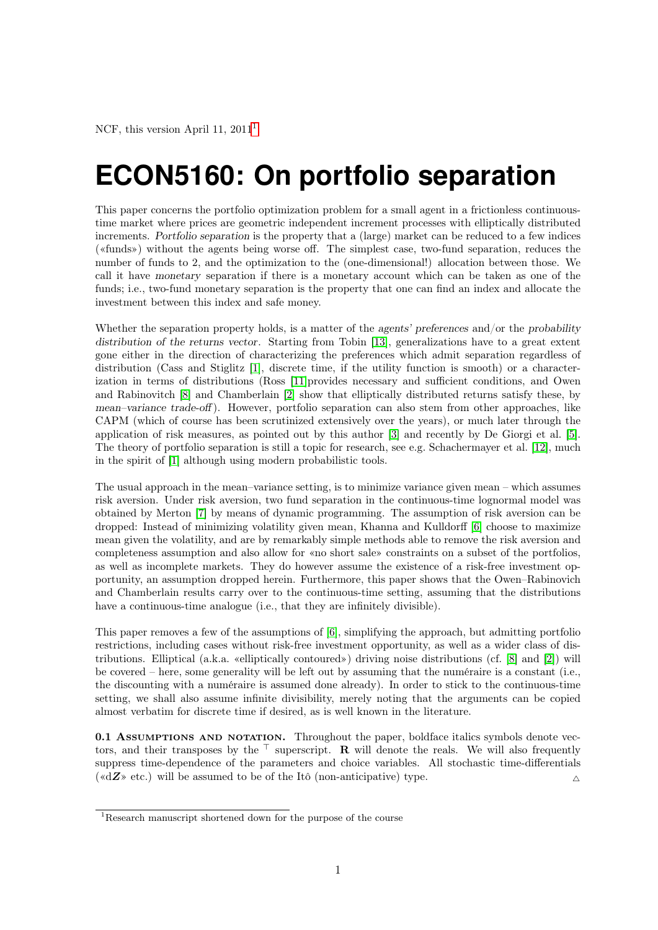# **ECON5160: On portfolio separation**

This paper concerns the portfolio optimization problem for a small agent in a frictionless continuoustime market where prices are geometric independent increment processes with elliptically distributed increments. Portfolio separation is the property that a (large) market can be reduced to a few indices («funds») without the agents being worse off. The simplest case, two-fund separation, reduces the number of funds to 2, and the optimization to the (one-dimensional!) allocation between those. We call it have monetary separation if there is a monetary account which can be taken as one of the funds; i.e., two-fund monetary separation is the property that one can find an index and allocate the investment between this index and safe money.

Whether the separation property holds, is a matter of the agents' preferences and/or the probability distribution of the returns vector. Starting from Tobin [\[13\]](#page-7-0), generalizations have to a great extent gone either in the direction of characterizing the preferences which admit separation regardless of distribution (Cass and Stiglitz [\[1\]](#page-6-0), discrete time, if the utility function is smooth) or a characterization in terms of distributions (Ross [\[11\]](#page-7-1)provides necessary and sufficient conditions, and Owen and Rabinovitch [\[8\]](#page-7-2) and Chamberlain [\[2\]](#page-6-1) show that elliptically distributed returns satisfy these, by mean–variance trade-off ). However, portfolio separation can also stem from other approaches, like CAPM (which of course has been scrutinized extensively over the years), or much later through the application of risk measures, as pointed out by this author [\[3\]](#page-6-2) and recently by De Giorgi et al. [\[5\]](#page-6-3). The theory of portfolio separation is still a topic for research, see e.g. Schachermayer et al. [\[12\]](#page-7-3), much in the spirit of [\[1\]](#page-6-0) although using modern probabilistic tools.

The usual approach in the mean–variance setting, is to minimize variance given mean – which assumes risk aversion. Under risk aversion, two fund separation in the continuous-time lognormal model was obtained by Merton [\[7\]](#page-7-4) by means of dynamic programming. The assumption of risk aversion can be dropped: Instead of minimizing volatility given mean, Khanna and Kulldorff [\[6\]](#page-7-5) choose to maximize mean given the volatility, and are by remarkably simple methods able to remove the risk aversion and completeness assumption and also allow for «no short sale» constraints on a subset of the portfolios, as well as incomplete markets. They do however assume the existence of a risk-free investment opportunity, an assumption dropped herein. Furthermore, this paper shows that the Owen–Rabinovich and Chamberlain results carry over to the continuous-time setting, assuming that the distributions have a continuous-time analogue (i.e., that they are infinitely divisible).

This paper removes a few of the assumptions of [\[6\]](#page-7-5), simplifying the approach, but admitting portfolio restrictions, including cases without risk-free investment opportunity, as well as a wider class of distributions. Elliptical (a.k.a. «elliptically contoured») driving noise distributions (cf. [\[8\]](#page-7-2) and [\[2\]](#page-6-1)) will be covered – here, some generality will be left out by assuming that the numéraire is a constant (i.e., the discounting with a numéraire is assumed done already). In order to stick to the continuous-time setting, we shall also assume infinite divisibility, merely noting that the arguments can be copied almost verbatim for discrete time if desired, as is well known in the literature.

0.1 ASSUMPTIONS AND NOTATION. Throughout the paper, boldface italics symbols denote vectors, and their transposes by the  $\top$  superscript. R will denote the reals. We will also frequently suppress time-dependence of the parameters and choice variables. All stochastic time-differentials ( $\langle \langle \text{d} Z \rangle \rangle$  etc.) will be assumed to be of the Itô (non-anticipative) type.

<span id="page-0-0"></span><sup>1</sup>Research manuscript shortened down for the purpose of the course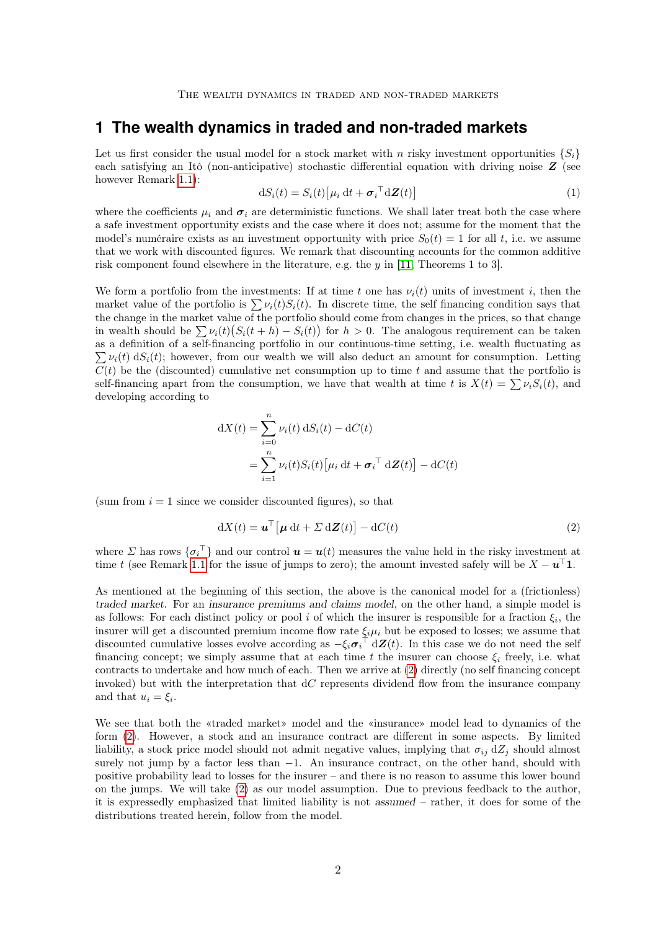### **1 The wealth dynamics in traded and non-traded markets**

Let us first consider the usual model for a stock market with n risky investment opportunities  $\{S_i\}$ each satisfying an Itô (non-anticipative) stochastic differential equation with driving noise  $Z$  (see however Remark [1.1\)](#page-1-0):

<span id="page-1-2"></span>
$$
dS_i(t) = S_i(t) \left[ \mu_i dt + \boldsymbol{\sigma}_i^\top d\boldsymbol{Z}(t) \right]
$$
 (1)

where the coefficients  $\mu_i$  and  $\sigma_i$  are deterministic functions. We shall later treat both the case where a safe investment opportunity exists and the case where it does not; assume for the moment that the model's numéraire exists as an investment opportunity with price  $S_0(t) = 1$  for all t, i.e. we assume that we work with discounted figures. We remark that discounting accounts for the common additive risk component found elsewhere in the literature, e.g. the  $y$  in [\[11,](#page-7-1) Theorems 1 to 3].

We form a portfolio from the investments: If at time t one has  $\nu_i(t)$  units of investment i, then the market value of the portfolio is  $\sum \nu_i(t)S_i(t)$ . In discrete time, the self financing condition says that the change in the market value of the portfolio should come from changes in the prices, so that change in wealth should be  $\sum \nu_i(t) (S_i(t+h) - S_i(t))$  for  $h > 0$ . The analogous requirement can be taken as a definition of a self-financing portfolio in our continuous-time setting, i.e. wealth fluctuating as  $\sum \nu_i(t) dS_i(t)$ ; however, from our wealth we will also deduct an amount for consumption. Letting  $C(t)$  be the (discounted) cumulative net consumption up to time t and assume that the portfolio is self-financing apart from the consumption, we have that wealth at time t is  $X(t) = \sum \nu_i S_i(t)$ , and developing according to

$$
dX(t) = \sum_{i=0}^{n} \nu_i(t) dS_i(t) - dC(t)
$$
  
= 
$$
\sum_{i=1}^{n} \nu_i(t) S_i(t) [\mu_i dt + \sigma_i^\top dZ(t)] - dC(t)
$$

(sum from  $i = 1$  since we consider discounted figures), so that

<span id="page-1-1"></span>
$$
dX(t) = \mathbf{u}^{\top} \left[ \boldsymbol{\mu} \, dt + \Sigma \, d\mathbf{Z}(t) \right] - dC(t) \tag{2}
$$

where  $\Sigma$  has rows  $\{\sigma_i^{\top}\}\$  and our control  $\boldsymbol{u} = \boldsymbol{u}(t)$  measures the value held in the risky investment at time t (see Remark [1.1](#page-1-0) for the issue of jumps to zero); the amount invested safely will be  $X - u^{\top}1$ .

As mentioned at the beginning of this section, the above is the canonical model for a (frictionless) traded market. For an insurance premiums and claims model, on the other hand, a simple model is as follows: For each distinct policy or pool i of which the insurer is responsible for a fraction  $\xi_i$ , the insurer will get a discounted premium income flow rate  $\xi_i\mu_i$  but be exposed to losses; we assume that discounted cumulative losses evolve according as  $-\xi_i \sigma_i^{\top} d\mathbf{Z}(t)$ . In this case we do not need the self financing concept; we simply assume that at each time t the insurer can choose  $\xi_i$  freely, i.e. what contracts to undertake and how much of each. Then we arrive at [\(2\)](#page-1-1) directly (no self financing concept invoked) but with the interpretation that  $dC$  represents dividend flow from the insurance company and that  $u_i = \xi_i$ .

<span id="page-1-0"></span>We see that both the «traded market» model and the «insurance» model lead to dynamics of the form [\(2\)](#page-1-1). However, a stock and an insurance contract are different in some aspects. By limited liability, a stock price model should not admit negative values, implying that  $\sigma_{ij} dZ_j$  should almost surely not jump by a factor less than  $-1$ . An insurance contract, on the other hand, should with positive probability lead to losses for the insurer – and there is no reason to assume this lower bound on the jumps. We will take [\(2\)](#page-1-1) as our model assumption. Due to previous feedback to the author, it is expressedly emphasized that limited liability is not assumed – rather, it does for some of the distributions treated herein, follow from the model.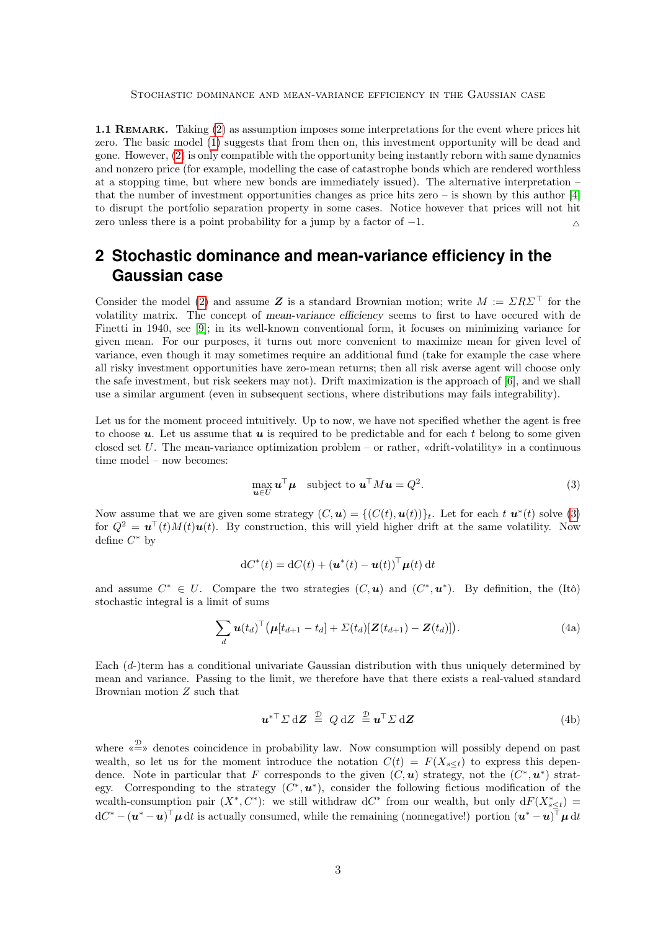1.1 REMARK. Taking [\(2\)](#page-1-1) as assumption imposes some interpretations for the event where prices hit zero. The basic model [\(1\)](#page-1-2) suggests that from then on, this investment opportunity will be dead and gone. However, [\(2\)](#page-1-1) is only compatible with the opportunity being instantly reborn with same dynamics and nonzero price (for example, modelling the case of catastrophe bonds which are rendered worthless at a stopping time, but where new bonds are immediately issued). The alternative interpretation – that the number of investment opportunities changes as price hits zero – is shown by this author [\[4\]](#page-6-4) to disrupt the portfolio separation property in some cases. Notice however that prices will not hit zero unless there is a point probability for a jump by a factor of  $-1$ .

## <span id="page-2-3"></span>**2 Stochastic dominance and mean-variance efficiency in the Gaussian case**

Consider the model [\(2\)](#page-1-1) and assume Z is a standard Brownian motion; write  $M := \Sigma R \Sigma$ <sup>T</sup> for the volatility matrix. The concept of mean-variance efficiency seems to first to have occured with de Finetti in 1940, see [\[9\]](#page-7-6); in its well-known conventional form, it focuses on minimizing variance for given mean. For our purposes, it turns out more convenient to maximize mean for given level of variance, even though it may sometimes require an additional fund (take for example the case where all risky investment opportunities have zero-mean returns; then all risk averse agent will choose only the safe investment, but risk seekers may not). Drift maximization is the approach of [\[6\]](#page-7-5), and we shall use a similar argument (even in subsequent sections, where distributions may fails integrability).

Let us for the moment proceed intuitively. Up to now, we have not specified whether the agent is free to choose  $u$ . Let us assume that  $u$  is required to be predictable and for each t belong to some given closed set U. The mean-variance optimization problem – or rather, «drift-volatility» in a continuous time model – now becomes:

<span id="page-2-0"></span>
$$
\max_{\mathbf{u}\in U} \mathbf{u}^{\top} \boldsymbol{\mu} \quad \text{subject to } \mathbf{u}^{\top} M \mathbf{u} = Q^2. \tag{3}
$$

Now assume that we are given some strategy  $(C, u) = \{ (C(t), u(t)) \}_t$ . Let for each  $t u^*(t)$  solve [\(3\)](#page-2-0) for  $Q^2 = \mathbf{u}^{\top}(t)M(t)\mathbf{u}(t)$ . By construction, this will yield higher drift at the same volatility. Now define  $C^*$  by

<span id="page-2-1"></span>
$$
dC^*(t) = dC(t) + (\boldsymbol{u}^*(t) - \boldsymbol{u}(t))^\top \boldsymbol{\mu}(t) dt
$$

and assume  $C^* \in U$ . Compare the two strategies  $(C, u)$  and  $(C^*, u^*)$ . By definition, the (Itô) stochastic integral is a limit of sums

$$
\sum_{d} \boldsymbol{u}(t_d)^\top \big(\boldsymbol{\mu}[t_{d+1} - t_d] + \Sigma(t_d) [\boldsymbol{Z}(t_{d+1}) - \boldsymbol{Z}(t_d)]\big). \tag{4a}
$$

Each (d-)term has a conditional univariate Gaussian distribution with thus uniquely determined by mean and variance. Passing to the limit, we therefore have that there exists a real-valued standard Brownian motion Z such that

<span id="page-2-4"></span><span id="page-2-2"></span>
$$
\boldsymbol{u}^* \boldsymbol{\Sigma} d\boldsymbol{Z} \stackrel{\mathcal{D}}{=} Q dZ \stackrel{\mathcal{D}}{=} \boldsymbol{u}^{\mathsf{T}} \boldsymbol{\Sigma} d\boldsymbol{Z}
$$
 (4b)

where  $\stackrel{\textcirc{D}}{\Longleftrightarrow}$  denotes coincidence in probability law. Now consumption will possibly depend on past wealth, so let us for the moment introduce the notation  $C(t) = F(X_{s \leq t})$  to express this dependence. Note in particular that F corresponds to the given  $(C, u)$  strategy, not the  $(C^*, u^*)$  strategy. Corresponding to the strategy  $(C^*, u^*)$ , consider the following fictious modification of the wealth-consumption pair  $(X^*, C^*)$ : we still withdraw dC<sup>\*</sup> from our wealth, but only  $dF(X^*_{s\leq t}) =$  $dC^* - (\boldsymbol{u}^* - \boldsymbol{u})^\top \boldsymbol{\mu} dt$  is actually consumed, while the remaining (nonnegative!) portion  $(\boldsymbol{u}^* - \boldsymbol{u})^\top \boldsymbol{\mu} dt$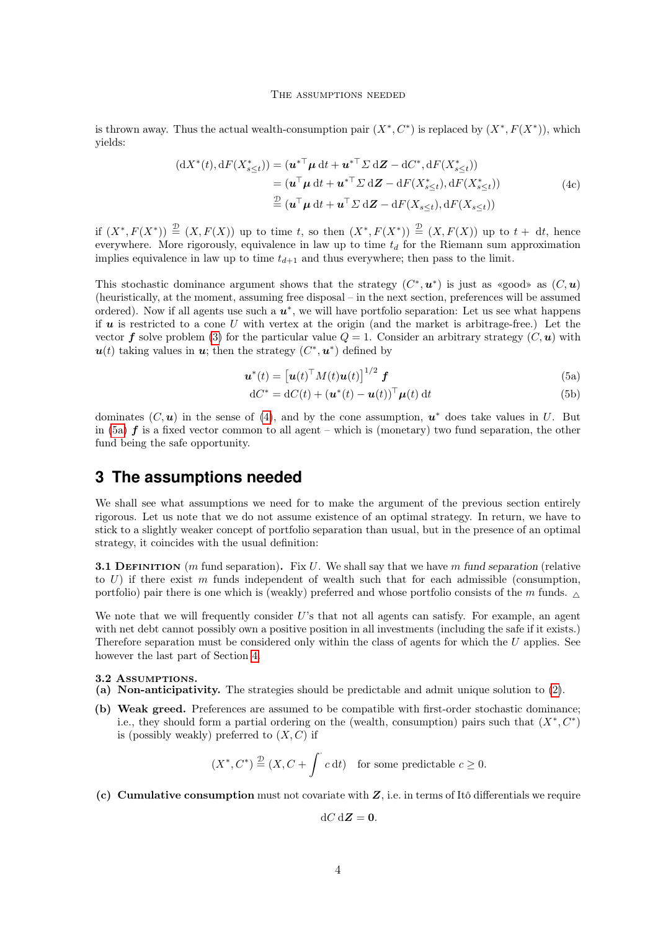#### The assumptions needed

is thrown away. Thus the actual wealth-consumption pair  $(X^*, C^*)$  is replaced by  $(X^*, F(X^*))$ , which yields:

$$
\begin{aligned} (\mathrm{d}X^*(t), \mathrm{d}F(X^*_{s\leq t})) &= (\boldsymbol{u}^{* \top} \boldsymbol{\mu} \, \mathrm{d}t + \boldsymbol{u}^{* \top} \boldsymbol{\Sigma} \, \mathrm{d}\boldsymbol{Z} - \mathrm{d}C^*, \mathrm{d}F(X^*_{s\leq t})) \\ &= (\boldsymbol{u}^{\top} \boldsymbol{\mu} \, \mathrm{d}t + \boldsymbol{u}^{* \top} \boldsymbol{\Sigma} \, \mathrm{d}\boldsymbol{Z} - \mathrm{d}F(X^*_{s\leq t}), \mathrm{d}F(X^*_{s\leq t})) \\ &\stackrel{\mathcal{D}}{=} (\boldsymbol{u}^{\top} \boldsymbol{\mu} \, \mathrm{d}t + \boldsymbol{u}^{\top} \boldsymbol{\Sigma} \, \mathrm{d}\boldsymbol{Z} - \mathrm{d}F(X_{s\leq t}), \mathrm{d}F(X_{s\leq t})) \end{aligned} \tag{4c}
$$

if  $(X^*, F(X^*)) \stackrel{\mathcal{D}}{=} (X, F(X))$  up to time t, so then  $(X^*, F(X^*)) \stackrel{\mathcal{D}}{=} (X, F(X))$  up to  $t + dt$ , hence everywhere. More rigorously, equivalence in law up to time  $t_d$  for the Riemann sum approximation implies equivalence in law up to time  $t_{d+1}$  and thus everywhere; then pass to the limit.

This stochastic dominance argument shows that the strategy  $(C^*, u^*)$  is just as «good» as  $(C, u)$ (heuristically, at the moment, assuming free disposal – in the next section, preferences will be assumed ordered). Now if all agents use such a  $u^*$ , we will have portfolio separation: Let us see what happens if  $u$  is restricted to a cone U with vertex at the origin (and the market is arbitrage-free.) Let the vector f solve problem [\(3\)](#page-2-0) for the particular value  $Q = 1$ . Consider an arbitrary strategy  $(C, u)$  with  $u(t)$  taking values in  $u$ ; then the strategy  $(C^*, u^*)$  defined by

<span id="page-3-3"></span>
$$
\boldsymbol{u}^*(t) = \left[\boldsymbol{u}(t)^\top M(t)\boldsymbol{u}(t)\right]^{1/2} \boldsymbol{f} \tag{5a}
$$

$$
dC^* = dC(t) + (\boldsymbol{u}^*(t) - \boldsymbol{u}(t))^\top \boldsymbol{\mu}(t) dt
$$
\n(5b)

dominates  $(C, u)$  in the sense of [\(4\)](#page-2-1), and by the cone assumption,  $u^*$  does take values in U. But in [\(5a\)](#page-2-2)  $f$  is a fixed vector common to all agent – which is (monetary) two fund separation, the other fund being the safe opportunity.

## **3 The assumptions needed**

We shall see what assumptions we need for to make the argument of the previous section entirely rigorous. Let us note that we do not assume existence of an optimal strategy. In return, we have to stick to a slightly weaker concept of portfolio separation than usual, but in the presence of an optimal strategy, it coincides with the usual definition:

**3.1 DEFINITION** (m fund separation). Fix U. We shall say that we have m fund separation (relative to  $U$ ) if there exist m funds independent of wealth such that for each admissible (consumption, portfolio) pair there is one which is (weakly) preferred and whose portfolio consists of the m funds.  $\Delta$ 

We note that we will frequently consider U's that not all agents can satisfy. For example, an agent with net debt cannot possibly own a positive position in all investments (including the safe if it exists.) Therefore separation must be considered only within the class of agents for which the U applies. See however the last part of Section [4.](#page-4-0)

<span id="page-3-2"></span>3.2 ASSUMPTIONS.

- (a) Non-anticipativity. The strategies should be predictable and admit unique solution to [\(2\)](#page-1-1).
- <span id="page-3-0"></span>(b) Weak greed. Preferences are assumed to be compatible with first-order stochastic dominance; i.e., they should form a partial ordering on the (wealth, consumption) pairs such that  $(X^*, C^*)$ is (possibly weakly) preferred to  $(X, C)$  if

$$
(X^*, C^*) \stackrel{\mathcal{D}}{=} (X, C + \int^{\cdot} c dt)
$$
 for some predictable  $c \ge 0$ .

<span id="page-3-1"></span>(c) Cumulative consumption must not covariate with  $Z$ , i.e. in terms of Itô differentials we require

$$
\mathrm{d}C\,\mathrm{d}\mathbf{Z}=\mathbf{0}.
$$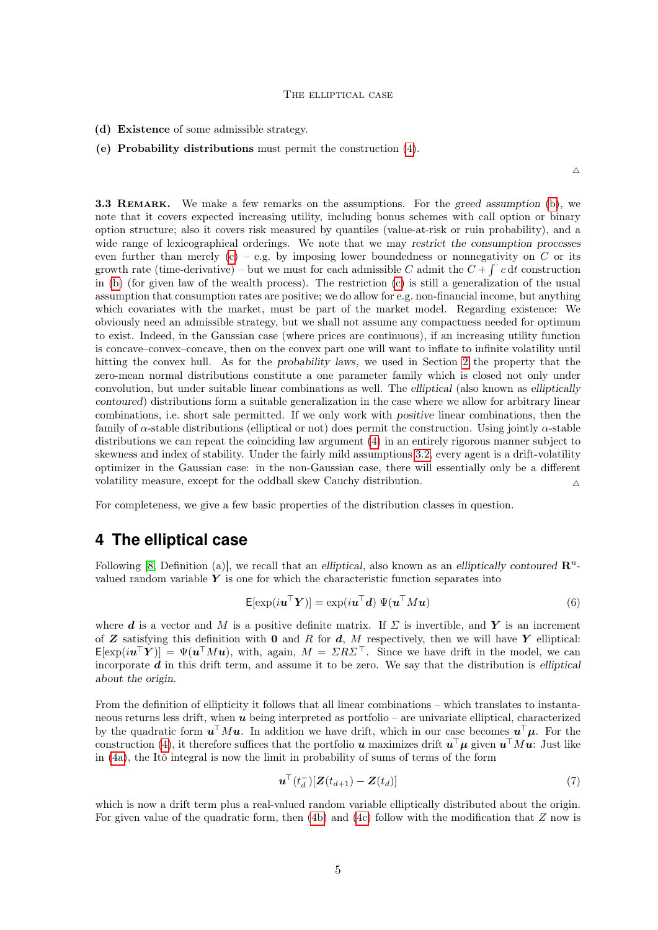#### The elliptical case

(d) Existence of some admissible strategy.

#### (e) Probability distributions must permit the construction [\(4\)](#page-2-1).

 $\wedge$ 

3.3 REMARK. We make a few remarks on the assumptions. For the greed assumption [\(b\)](#page-3-0), we note that it covers expected increasing utility, including bonus schemes with call option or binary option structure; also it covers risk measured by quantiles (value-at-risk or ruin probability), and a wide range of lexicographical orderings. We note that we may restrict the consumption processes even further than merely  $(c)$  – e.g. by imposing lower boundedness or nonnegativity on C or its growth rate (time-derivative) – but we must for each admissible C admit the  $C + \int c \, dt$  construction in [\(b\)](#page-3-0) (for given law of the wealth process). The restriction [\(c\)](#page-3-1) is still a generalization of the usual assumption that consumption rates are positive; we do allow for e.g. non-financial income, but anything which covariates with the market, must be part of the market model. Regarding existence: We obviously need an admissible strategy, but we shall not assume any compactness needed for optimum to exist. Indeed, in the Gaussian case (where prices are continuous), if an increasing utility function is concave–convex–concave, then on the convex part one will want to inflate to infinite volatility until hitting the convex hull. As for the probability laws, we used in Section [2](#page-2-3) the property that the zero-mean normal distributions constitute a one parameter family which is closed not only under convolution, but under suitable linear combinations as well. The elliptical (also known as elliptically contoured) distributions form a suitable generalization in the case where we allow for arbitrary linear combinations, i.e. short sale permitted. If we only work with positive linear combinations, then the family of  $\alpha$ -stable distributions (elliptical or not) does permit the construction. Using jointly  $\alpha$ -stable distributions we can repeat the coinciding law argument [\(4\)](#page-2-1) in an entirely rigorous manner subject to skewness and index of stability. Under the fairly mild assumptions [3.2,](#page-3-2) every agent is a drift-volatility optimizer in the Gaussian case: in the non-Gaussian case, there will essentially only be a different volatility measure, except for the oddball skew Cauchy distribution. <sup>4</sup>

For completeness, we give a few basic properties of the distribution classes in question.

## <span id="page-4-0"></span>**4 The elliptical case**

Following [\[8,](#page-7-2) Definition (a)], we recall that an elliptical, also known as an elliptically contoured  $\mathbb{R}^n$ valued random variable  $Y$  is one for which the characteristic function separates into

$$
\mathsf{E}[\exp(i\mathbf{u}^{\top}\mathbf{Y})] = \exp(i\mathbf{u}^{\top}\mathbf{d}) \Psi(\mathbf{u}^{\top}M\mathbf{u})
$$
\n(6)

where d is a vector and M is a positive definite matrix. If  $\Sigma$  is invertible, and Y is an increment of  $Z$  satisfying this definition with 0 and R for  $d$ , M respectively, then we will have Y elliptical:  $\mathsf{E}[\exp(i\mathbf{u}^{\top}\mathbf{Y})] = \Psi(\mathbf{u}^{\top}M\mathbf{u})$ , with, again,  $M = \Sigma R \Sigma^{\top}$ . Since we have drift in the model, we can incorporate  $d$  in this drift term, and assume it to be zero. We say that the distribution is elliptical about the origin.

From the definition of ellipticity it follows that all linear combinations – which translates to instantaneous returns less drift, when u being interpreted as portfolio – are univariate elliptical, characterized by the quadratic form  $u^{\top} M u$ . In addition we have drift, which in our case becomes  $u^{\top} \mu$ . For the construction [\(4\)](#page-2-1), it therefore suffices that the portfolio  $u$  maximizes drift  $u^{\top}\mu$  given  $u^{\top}Mu$ : Just like in [\(4a\)](#page-2-2), the Itô integral is now the limit in probability of sums of terms of the form

$$
\boldsymbol{u}^{\top}(t_d^{-})[\boldsymbol{Z}(t_{d+1})-\boldsymbol{Z}(t_d)] \tag{7}
$$

which is now a drift term plus a real-valued random variable elliptically distributed about the origin. For given value of the quadratic form, then [\(4b\)](#page-2-4) and [\(4c\)](#page-2-0) follow with the modification that Z now is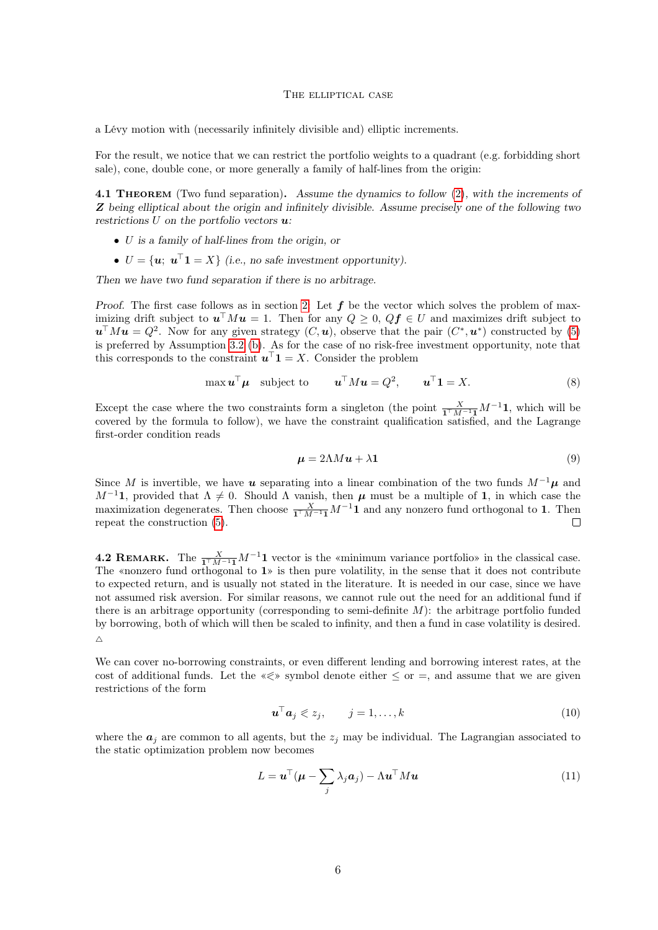#### The elliptical case

a Lévy motion with (necessarily infinitely divisible and) elliptic increments.

For the result, we notice that we can restrict the portfolio weights to a quadrant (e.g. forbidding short sale), cone, double cone, or more generally a family of half-lines from the origin:

<span id="page-5-0"></span>4.1 THEOREM (Two fund separation). Assume the dynamics to follow [\(2\)](#page-1-1), with the increments of Z being elliptical about the origin and infinitely divisible. Assume precisely one of the following two restrictions  $U$  on the portfolio vectors  $u$ :

- U is a family of half-lines from the origin, or
- $U = {\mathbf{u}}; \mathbf{u}^{\top} \mathbf{1} = X$  (i.e., no safe investment opportunity).

Then we have two fund separation if there is no arbitrage.

Proof. The first case follows as in section [2:](#page-2-3) Let  $f$  be the vector which solves the problem of maximizing drift subject to  $u^{\top} M u = 1$ . Then for any  $Q \geq 0$ ,  $Qf \in U$  and maximizes drift subject to  $u^{\top} M u = Q^2$ . Now for any given strategy  $(C, u)$ , observe that the pair  $(C^*, u^*)$  constructed by [\(5\)](#page-3-3) is preferred by Assumption [3.2](#page-3-2) [\(b\)](#page-3-0). As for the case of no risk-free investment opportunity, note that this corresponds to the constraint  $\mathbf{u}^\top \mathbf{1} = X$ . Consider the problem

$$
\max \mathbf{u}^\top \mathbf{\mu} \quad \text{subject to} \qquad \mathbf{u}^\top M \mathbf{u} = Q^2, \qquad \mathbf{u}^\top \mathbf{1} = X. \tag{8}
$$

Except the case where the two constraints form a singleton (the point  $\frac{X}{\mathbf{1}^\top M^{-1}\mathbf{1}}M^{-1}\mathbf{1}$ , which will be covered by the formula to follow), we have the constraint qualification satisfied, and the Lagrange first-order condition reads

$$
\mu = 2\Lambda M u + \lambda 1\tag{9}
$$

Since M is invertible, we have u separating into a linear combination of the two funds  $M^{-1}\mu$  and  $M^{-1}$ 1, provided that  $\Lambda \neq 0$ . Should  $\Lambda$  vanish, then  $\mu$  must be a multiple of 1, in which case the maximization degenerates. Then choose  $\frac{X}{\mathbf{1}^\top M^{-1}\mathbf{1}}M^{-1}\mathbf{1}$  and any nonzero fund orthogonal to 1. Then repeat the construction [\(5\)](#page-3-3).

**4.2 REMARK.** The  $\frac{X}{1^{\top}M^{-1}}$   $M^{-1}$  vector is the «minimum variance portfolio» in the classical case. The «nonzero fund orthogonal to 1» is then pure volatility, in the sense that it does not contribute to expected return, and is usually not stated in the literature. It is needed in our case, since we have not assumed risk aversion. For similar reasons, we cannot rule out the need for an additional fund if there is an arbitrage opportunity (corresponding to semi-definite  $M$ ): the arbitrage portfolio funded by borrowing, both of which will then be scaled to infinity, and then a fund in case volatility is desired.  $\triangle$ 

We can cover no-borrowing constraints, or even different lending and borrowing interest rates, at the cost of additional funds. Let the  $\ll \gg$  symbol denote either  $\leq$  or  $=$ , and assume that we are given restrictions of the form

<span id="page-5-1"></span>
$$
\mathbf{u}^\top \mathbf{a}_j \leqslant z_j, \qquad j = 1, \dots, k \tag{10}
$$

where the  $a_i$  are common to all agents, but the  $z_i$  may be individual. The Lagrangian associated to the static optimization problem now becomes

$$
L = \boldsymbol{u}^{\top}(\boldsymbol{\mu} - \sum_{j} \lambda_j \boldsymbol{a}_j) - \Lambda \boldsymbol{u}^{\top} M \boldsymbol{u}
$$
\n(11)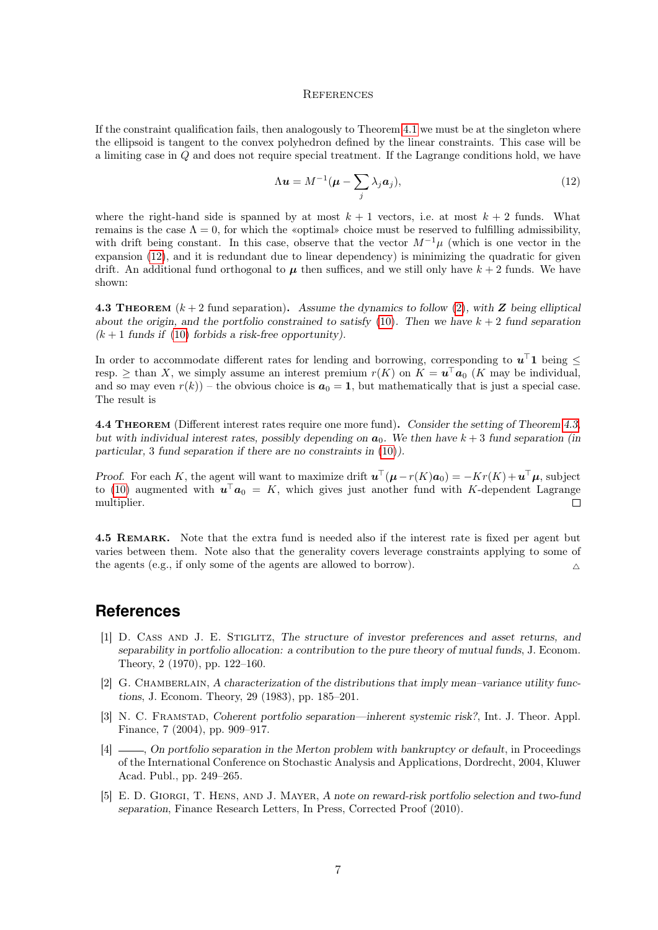#### <span id="page-6-5"></span>**REFERENCES**

If the constraint qualification fails, then analogously to Theorem [4.1](#page-5-0) we must be at the singleton where the ellipsoid is tangent to the convex polyhedron defined by the linear constraints. This case will be a limiting case in Q and does not require special treatment. If the Lagrange conditions hold, we have

$$
\Lambda \mathbf{u} = M^{-1} (\boldsymbol{\mu} - \sum_{j} \lambda_j \mathbf{a}_j), \qquad (12)
$$

where the right-hand side is spanned by at most  $k + 1$  vectors, i.e. at most  $k + 2$  funds. What remains is the case  $\Lambda = 0$ , for which the «optimal» choice must be reserved to fulfilling admissibility, with drift being constant. In this case, observe that the vector  $M^{-1}\mu$  (which is one vector in the expansion [\(12\)](#page-6-5), and it is redundant due to linear dependency) is minimizing the quadratic for given drift. An additional fund orthogonal to  $\mu$  then suffices, and we still only have  $k + 2$  funds. We have shown:

<span id="page-6-6"></span>4.3 THEOREM  $(k + 2$  fund separation). Assume the dynamics to follow [\(2\)](#page-1-1), with Z being elliptical about the origin, and the portfolio constrained to satisfy [\(10\)](#page-5-1). Then we have  $k + 2$  fund separation  $(k+1$  funds if [\(10\)](#page-5-1) forbids a risk-free opportunity).

In order to accommodate different rates for lending and borrowing, corresponding to  $u^{\top}1$  being  $\leq$ resp.  $\geq$  than X, we simply assume an interest premium  $r(K)$  on  $K = \mathbf{u}^{\top} \mathbf{a}_0$  (K may be individual, and so may even  $r(k)$ ) – the obvious choice is  $a_0 = 1$ , but mathematically that is just a special case. The result is

4.4 Theorem (Different interest rates require one more fund). Consider the setting of Theorem [4.3,](#page-6-6) but with individual interest rates, possibly depending on  $a_0$ . We then have  $k + 3$  fund separation (in particular, 3 fund separation if there are no constraints in [\(10\)](#page-5-1)).

Proof. For each K, the agent will want to maximize drift  $\mathbf{u}^{\top}(\mu - r(K)\mathbf{a}_0) = -Kr(K) + \mathbf{u}^{\top}\mu$ , subject to [\(10\)](#page-5-1) augmented with  $\mathbf{u}^\top \mathbf{a}_0 = K$ , which gives just another fund with K-dependent Lagrange multiplier.  $\Box$ 

4.5 REMARK. Note that the extra fund is needed also if the interest rate is fixed per agent but varies between them. Note also that the generality covers leverage constraints applying to some of the agents (e.g., if only some of the agents are allowed to borrow).

## **References**

- <span id="page-6-0"></span>[1] D. Cass and J. E. Stiglitz, The structure of investor preferences and asset returns, and separability in portfolio allocation: a contribution to the pure theory of mutual funds, J. Econom. Theory, 2 (1970), pp. 122–160.
- <span id="page-6-1"></span>[2] G. CHAMBERLAIN, A characterization of the distributions that imply mean–variance utility functions, J. Econom. Theory, 29 (1983), pp. 185–201.
- <span id="page-6-2"></span>[3] N. C. Framstad, Coherent portfolio separation—inherent systemic risk?, Int. J. Theor. Appl. Finance, 7 (2004), pp. 909–917.
- <span id="page-6-4"></span>[4]  $\equiv$ , On portfolio separation in the Merton problem with bankruptcy or default, in Proceedings of the International Conference on Stochastic Analysis and Applications, Dordrecht, 2004, Kluwer Acad. Publ., pp. 249–265.
- <span id="page-6-3"></span>[5] E. D. Giorgi, T. Hens, and J. Mayer, A note on reward-risk portfolio selection and two-fund separation, Finance Research Letters, In Press, Corrected Proof (2010).